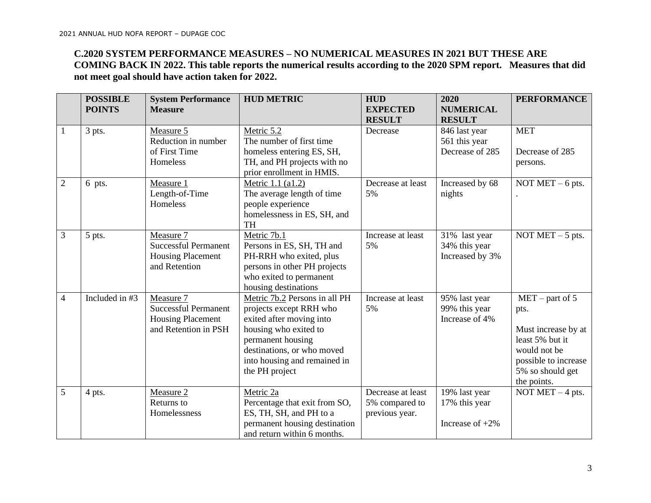## **C.2020 SYSTEM PERFORMANCE MEASURES – NO NUMERICAL MEASURES IN 2021 BUT THESE ARE COMING BACK IN 2022. This table reports the numerical results according to the 2020 SPM report. Measures that did not meet goal should have action taken for 2022.**

|                | <b>POSSIBLE</b><br><b>POINTS</b> | <b>System Performance</b><br><b>Measure</b>                                                  | <b>HUD METRIC</b>                                                                                                                                                                                                  | <b>HUD</b><br><b>EXPECTED</b>                         | 2020<br><b>NUMERICAL</b>                             | <b>PERFORMANCE</b>                                                                                                                             |
|----------------|----------------------------------|----------------------------------------------------------------------------------------------|--------------------------------------------------------------------------------------------------------------------------------------------------------------------------------------------------------------------|-------------------------------------------------------|------------------------------------------------------|------------------------------------------------------------------------------------------------------------------------------------------------|
|                |                                  |                                                                                              |                                                                                                                                                                                                                    | <b>RESULT</b>                                         | <b>RESULT</b>                                        |                                                                                                                                                |
| $\mathbf{1}$   | 3 pts.                           | Measure 5<br>Reduction in number<br>of First Time<br>Homeless                                | Metric 5.2<br>The number of first time<br>homeless entering ES, SH,<br>TH, and PH projects with no<br>prior enrollment in HMIS.                                                                                    | Decrease                                              | 846 last year<br>561 this year<br>Decrease of 285    | <b>MET</b><br>Decrease of 285<br>persons.                                                                                                      |
| $\overline{2}$ | 6 pts.                           | Measure 1<br>Length-of-Time<br>Homeless                                                      | Metric 1.1 (a1.2)<br>The average length of time<br>people experience<br>homelessness in ES, SH, and<br><b>TH</b>                                                                                                   | Decrease at least<br>5%                               | Increased by 68<br>nights                            | NOT $MET - 6$ pts.                                                                                                                             |
| 3              | 5 pts.                           | Measure 7<br><b>Successful Permanent</b><br><b>Housing Placement</b><br>and Retention        | Metric 7b.1<br>Persons in ES, SH, TH and<br>PH-RRH who exited, plus<br>persons in other PH projects<br>who exited to permanent<br>housing destinations                                                             | Increase at least<br>5%                               | 31% last year<br>34% this year<br>Increased by 3%    | NOT $MET - 5$ pts.                                                                                                                             |
| $\overline{4}$ | Included in #3                   | Measure 7<br><b>Successful Permanent</b><br><b>Housing Placement</b><br>and Retention in PSH | Metric 7b.2 Persons in all PH<br>projects except RRH who<br>exited after moving into<br>housing who exited to<br>permanent housing<br>destinations, or who moved<br>into housing and remained in<br>the PH project | Increase at least<br>5%                               | 95% last year<br>99% this year<br>Increase of 4%     | $MET - part of 5$<br>pts.<br>Must increase by at<br>least 5% but it<br>would not be<br>possible to increase<br>5% so should get<br>the points. |
| 5              | 4 pts.                           | Measure 2<br>Returns to<br>Homelessness                                                      | Metric 2a<br>Percentage that exit from SO,<br>ES, TH, SH, and PH to a<br>permanent housing destination<br>and return within 6 months.                                                                              | Decrease at least<br>5% compared to<br>previous year. | 19% last year<br>17% this year<br>Increase of $+2\%$ | NOT MET $-4$ pts.                                                                                                                              |